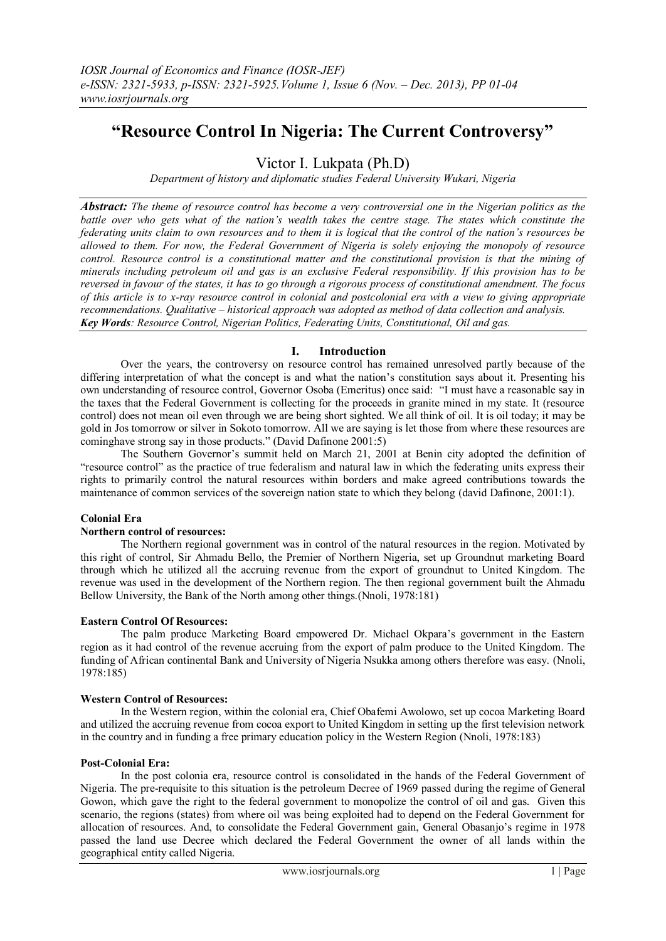# **"Resource Control In Nigeria: The Current Controversy"**

Victor I. Lukpata (Ph.D)

*Department of history and diplomatic studies Federal University Wukari, Nigeria*

*Abstract: The theme of resource control has become a very controversial one in the Nigerian politics as the battle over who gets what of the nation's wealth takes the centre stage. The states which constitute the federating units claim to own resources and to them it is logical that the control of the nation's resources be allowed to them. For now, the Federal Government of Nigeria is solely enjoying the monopoly of resource control. Resource control is a constitutional matter and the constitutional provision is that the mining of minerals including petroleum oil and gas is an exclusive Federal responsibility. If this provision has to be reversed in favour of the states, it has to go through a rigorous process of constitutional amendment. The focus of this article is to x-ray resource control in colonial and postcolonial era with a view to giving appropriate recommendations. Qualitative – historical approach was adopted as method of data collection and analysis. Key Words: Resource Control, Nigerian Politics, Federating Units, Constitutional, Oil and gas.*

## **I. Introduction**

Over the years, the controversy on resource control has remained unresolved partly because of the differing interpretation of what the concept is and what the nation's constitution says about it. Presenting his own understanding of resource control, Governor Osoba (Emeritus) once said: "I must have a reasonable say in the taxes that the Federal Government is collecting for the proceeds in granite mined in my state. It (resource control) does not mean oil even through we are being short sighted. We all think of oil. It is oil today; it may be gold in Jos tomorrow or silver in Sokoto tomorrow. All we are saying is let those from where these resources are cominghave strong say in those products." (David Dafinone 2001:5)

The Southern Governor's summit held on March 21, 2001 at Benin city adopted the definition of "resource control" as the practice of true federalism and natural law in which the federating units express their rights to primarily control the natural resources within borders and make agreed contributions towards the maintenance of common services of the sovereign nation state to which they belong (david Dafinone, 2001:1).

### **Colonial Era**

## **Northern control of resources:**

The Northern regional government was in control of the natural resources in the region. Motivated by this right of control, Sir Ahmadu Bello, the Premier of Northern Nigeria, set up Groundnut marketing Board through which he utilized all the accruing revenue from the export of groundnut to United Kingdom. The revenue was used in the development of the Northern region. The then regional government built the Ahmadu Bellow University, the Bank of the North among other things.(Nnoli, 1978:181)

## **Eastern Control Of Resources:**

The palm produce Marketing Board empowered Dr. Michael Okpara's government in the Eastern region as it had control of the revenue accruing from the export of palm produce to the United Kingdom. The funding of African continental Bank and University of Nigeria Nsukka among others therefore was easy. (Nnoli, 1978:185)

#### **Western Control of Resources:**

In the Western region, within the colonial era, Chief Obafemi Awolowo, set up cocoa Marketing Board and utilized the accruing revenue from cocoa export to United Kingdom in setting up the first television network in the country and in funding a free primary education policy in the Western Region (Nnoli, 1978:183)

#### **Post-Colonial Era:**

In the post colonia era, resource control is consolidated in the hands of the Federal Government of Nigeria. The pre-requisite to this situation is the petroleum Decree of 1969 passed during the regime of General Gowon, which gave the right to the federal government to monopolize the control of oil and gas. Given this scenario, the regions (states) from where oil was being exploited had to depend on the Federal Government for allocation of resources. And, to consolidate the Federal Government gain, General Obasanjo's regime in 1978 passed the land use Decree which declared the Federal Government the owner of all lands within the geographical entity called Nigeria.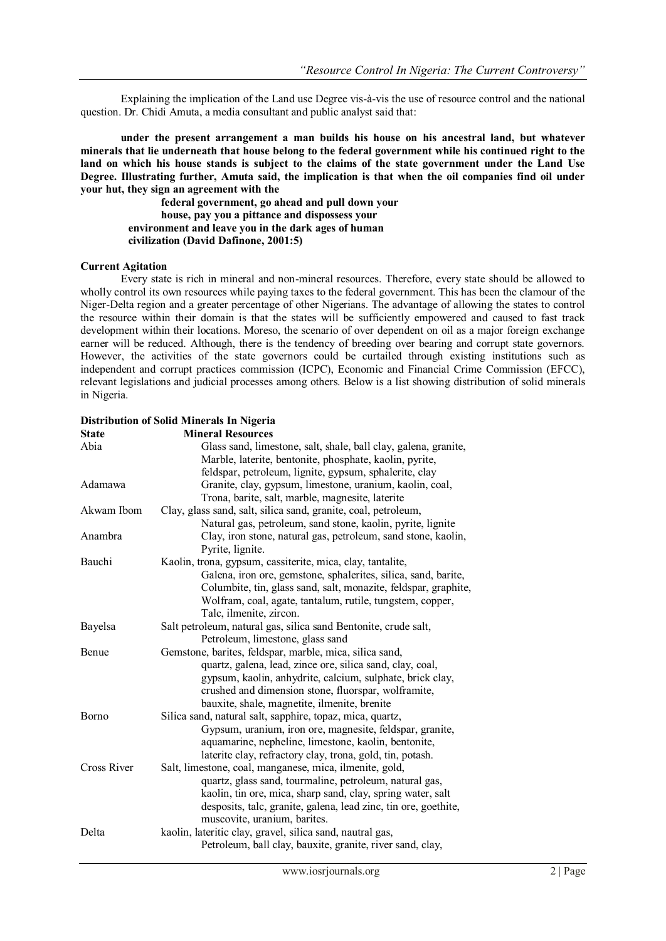Explaining the implication of the Land use Degree vis-à-vis the use of resource control and the national question. Dr. Chidi Amuta, a media consultant and public analyst said that:

**under the present arrangement a man builds his house on his ancestral land, but whatever minerals that lie underneath that house belong to the federal government while his continued right to the land on which his house stands is subject to the claims of the state government under the Land Use Degree. Illustrating further, Amuta said, the implication is that when the oil companies find oil under your hut, they sign an agreement with the** 

**federal government, go ahead and pull down your house, pay you a pittance and dispossess your environment and leave you in the dark ages of human civilization (David Dafinone, 2001:5)**

#### **Current Agitation**

Every state is rich in mineral and non-mineral resources. Therefore, every state should be allowed to wholly control its own resources while paying taxes to the federal government. This has been the clamour of the Niger-Delta region and a greater percentage of other Nigerians. The advantage of allowing the states to control the resource within their domain is that the states will be sufficiently empowered and caused to fast track development within their locations. Moreso, the scenario of over dependent on oil as a major foreign exchange earner will be reduced. Although, there is the tendency of breeding over bearing and corrupt state governors. However, the activities of the state governors could be curtailed through existing institutions such as independent and corrupt practices commission (ICPC), Economic and Financial Crime Commission (EFCC), relevant legislations and judicial processes among others. Below is a list showing distribution of solid minerals in Nigeria.

| Abia               | Glass sand, limestone, salt, shale, ball clay, galena, granite,<br>Marble, laterite, bentonite, phosphate, kaolin, pyrite, |
|--------------------|----------------------------------------------------------------------------------------------------------------------------|
|                    | feldspar, petroleum, lignite, gypsum, sphalerite, clay                                                                     |
| Adamawa            | Granite, clay, gypsum, limestone, uranium, kaolin, coal,                                                                   |
|                    | Trona, barite, salt, marble, magnesite, laterite                                                                           |
| Akwam Ibom         | Clay, glass sand, salt, silica sand, granite, coal, petroleum,                                                             |
|                    | Natural gas, petroleum, sand stone, kaolin, pyrite, lignite                                                                |
| Anambra            | Clay, iron stone, natural gas, petroleum, sand stone, kaolin,                                                              |
|                    | Pyrite, lignite.                                                                                                           |
| Bauchi             | Kaolin, trona, gypsum, cassiterite, mica, clay, tantalite,                                                                 |
|                    | Galena, iron ore, gemstone, sphalerites, silica, sand, barite,                                                             |
|                    | Columbite, tin, glass sand, salt, monazite, feldspar, graphite,                                                            |
|                    | Wolfram, coal, agate, tantalum, rutile, tungstem, copper,                                                                  |
|                    | Talc, ilmenite, zircon.                                                                                                    |
| Bayelsa            | Salt petroleum, natural gas, silica sand Bentonite, crude salt,                                                            |
|                    | Petroleum, limestone, glass sand                                                                                           |
| Benue              | Gemstone, barites, feldspar, marble, mica, silica sand,                                                                    |
|                    | quartz, galena, lead, zince ore, silica sand, clay, coal,                                                                  |
|                    | gypsum, kaolin, anhydrite, calcium, sulphate, brick clay,                                                                  |
|                    | crushed and dimension stone, fluorspar, wolframite,                                                                        |
|                    | bauxite, shale, magnetite, ilmenite, brenite                                                                               |
| <b>Borno</b>       | Silica sand, natural salt, sapphire, topaz, mica, quartz,                                                                  |
|                    | Gypsum, uranium, iron ore, magnesite, feldspar, granite,                                                                   |
|                    | aquamarine, nepheline, limestone, kaolin, bentonite,                                                                       |
|                    | laterite clay, refractory clay, trona, gold, tin, potash.                                                                  |
| <b>Cross River</b> | Salt, limestone, coal, manganese, mica, ilmenite, gold,                                                                    |
|                    | quartz, glass sand, tourmaline, petroleum, natural gas,                                                                    |
|                    | kaolin, tin ore, mica, sharp sand, clay, spring water, salt                                                                |
|                    | desposits, talc, granite, galena, lead zinc, tin ore, goethite,                                                            |
|                    | muscovite, uranium, barites.                                                                                               |
| Delta              | kaolin, lateritic clay, gravel, silica sand, nautral gas,                                                                  |
|                    | Petroleum, ball clay, bauxite, granite, river sand, clay,                                                                  |
|                    |                                                                                                                            |

#### **Distribution of Solid Minerals In Nigeria State Mineral Resources**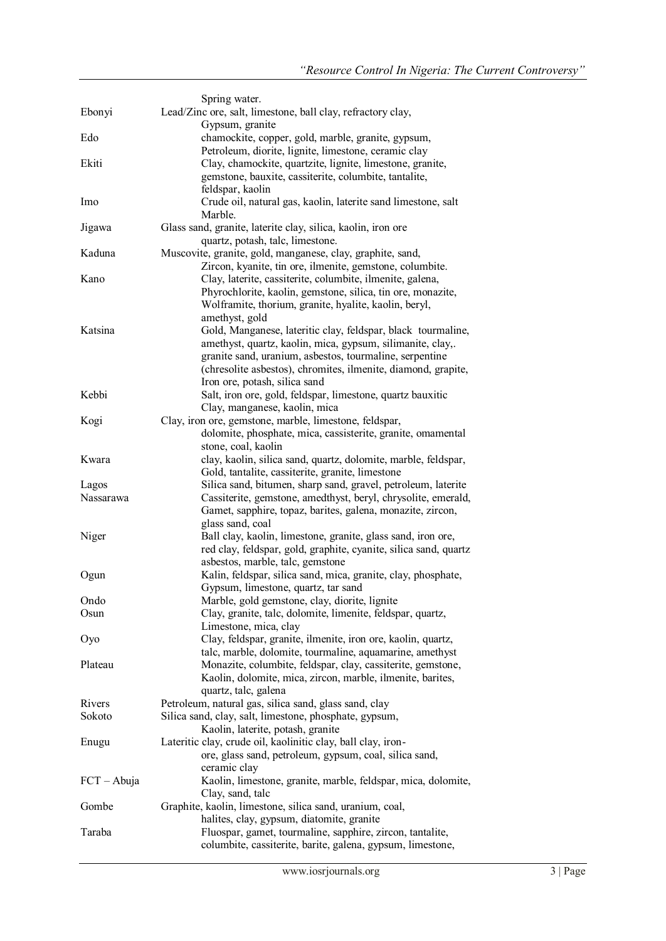|               | Spring water.                                                                                                            |
|---------------|--------------------------------------------------------------------------------------------------------------------------|
| Ebonyi        | Lead/Zinc ore, salt, limestone, ball clay, refractory clay,                                                              |
|               | Gypsum, granite                                                                                                          |
| Edo           | chamockite, copper, gold, marble, granite, gypsum,                                                                       |
|               | Petroleum, diorite, lignite, limestone, ceramic clay                                                                     |
| Ekiti         | Clay, chamockite, quartzite, lignite, limestone, granite,                                                                |
|               | gemstone, bauxite, cassiterite, columbite, tantalite,                                                                    |
|               | feldspar, kaolin                                                                                                         |
| Imo           | Crude oil, natural gas, kaolin, laterite sand limestone, salt                                                            |
|               | Marble.                                                                                                                  |
| Jigawa        | Glass sand, granite, laterite clay, silica, kaolin, iron ore                                                             |
|               | quartz, potash, talc, limestone.                                                                                         |
| Kaduna        | Muscovite, granite, gold, manganese, clay, graphite, sand,                                                               |
| Kano          | Zircon, kyanite, tin ore, ilmenite, gemstone, columbite.                                                                 |
|               | Clay, laterite, cassiterite, columbite, ilmenite, galena,<br>Phyrochlorite, kaolin, gemstone, silica, tin ore, monazite, |
|               | Wolframite, thorium, granite, hyalite, kaolin, beryl,                                                                    |
|               | amethyst, gold                                                                                                           |
| Katsina       | Gold, Manganese, lateritic clay, feldspar, black tourmaline,                                                             |
|               | amethyst, quartz, kaolin, mica, gypsum, silimanite, clay,.                                                               |
|               | granite sand, uranium, asbestos, tourmaline, serpentine                                                                  |
|               | (chresolite asbestos), chromites, ilmenite, diamond, grapite,                                                            |
|               | Iron ore, potash, silica sand                                                                                            |
| Kebbi         | Salt, iron ore, gold, feldspar, limestone, quartz bauxitic                                                               |
|               | Clay, manganese, kaolin, mica                                                                                            |
| Kogi          | Clay, iron ore, gemstone, marble, limestone, feldspar,                                                                   |
|               | dolomite, phosphate, mica, cassisterite, granite, omamental                                                              |
|               | stone, coal, kaolin                                                                                                      |
| Kwara         | clay, kaolin, silica sand, quartz, dolomite, marble, feldspar,                                                           |
|               | Gold, tantalite, cassiterite, granite, limestone                                                                         |
| Lagos         | Silica sand, bitumen, sharp sand, gravel, petroleum, laterite                                                            |
| Nassarawa     | Cassiterite, gemstone, amedthyst, beryl, chrysolite, emerald,                                                            |
|               | Gamet, sapphire, topaz, barites, galena, monazite, zircon,                                                               |
|               | glass sand, coal                                                                                                         |
| Niger         | Ball clay, kaolin, limestone, granite, glass sand, iron ore,                                                             |
|               | red clay, feldspar, gold, graphite, cyanite, silica sand, quartz                                                         |
|               | asbestos, marble, talc, gemstone<br>Kalin, feldspar, silica sand, mica, granite, clay, phosphate,                        |
| Ogun          | Gypsum, limestone, quartz, tar sand                                                                                      |
| Ondo          | Marble, gold gemstone, clay, diorite, lignite                                                                            |
| Osun          | Clay, granite, talc, dolomite, limenite, feldspar, quartz,                                                               |
|               | Limestone, mica, clay                                                                                                    |
| Oyo           | Clay, feldspar, granite, ilmenite, iron ore, kaolin, quartz,                                                             |
|               | talc, marble, dolomite, tourmaline, aquamarine, amethyst                                                                 |
| Plateau       | Monazite, columbite, feldspar, clay, cassiterite, gemstone,                                                              |
|               | Kaolin, dolomite, mica, zircon, marble, ilmenite, barites,                                                               |
|               | quartz, talc, galena                                                                                                     |
| Rivers        | Petroleum, natural gas, silica sand, glass sand, clay                                                                    |
| Sokoto        | Silica sand, clay, salt, limestone, phosphate, gypsum,                                                                   |
|               | Kaolin, laterite, potash, granite                                                                                        |
| Enugu         | Lateritic clay, crude oil, kaolinitic clay, ball clay, iron-                                                             |
|               | ore, glass sand, petroleum, gypsum, coal, silica sand,                                                                   |
|               | ceramic clay                                                                                                             |
| $FCT - Abuja$ | Kaolin, limestone, granite, marble, feldspar, mica, dolomite,                                                            |
|               | Clay, sand, talc                                                                                                         |
| Gombe         | Graphite, kaolin, limestone, silica sand, uranium, coal,                                                                 |
| Taraba        | halites, clay, gypsum, diatomite, granite<br>Fluospar, gamet, tourmaline, sapphire, zircon, tantalite,                   |
|               | columbite, cassiterite, barite, galena, gypsum, limestone,                                                               |
|               |                                                                                                                          |